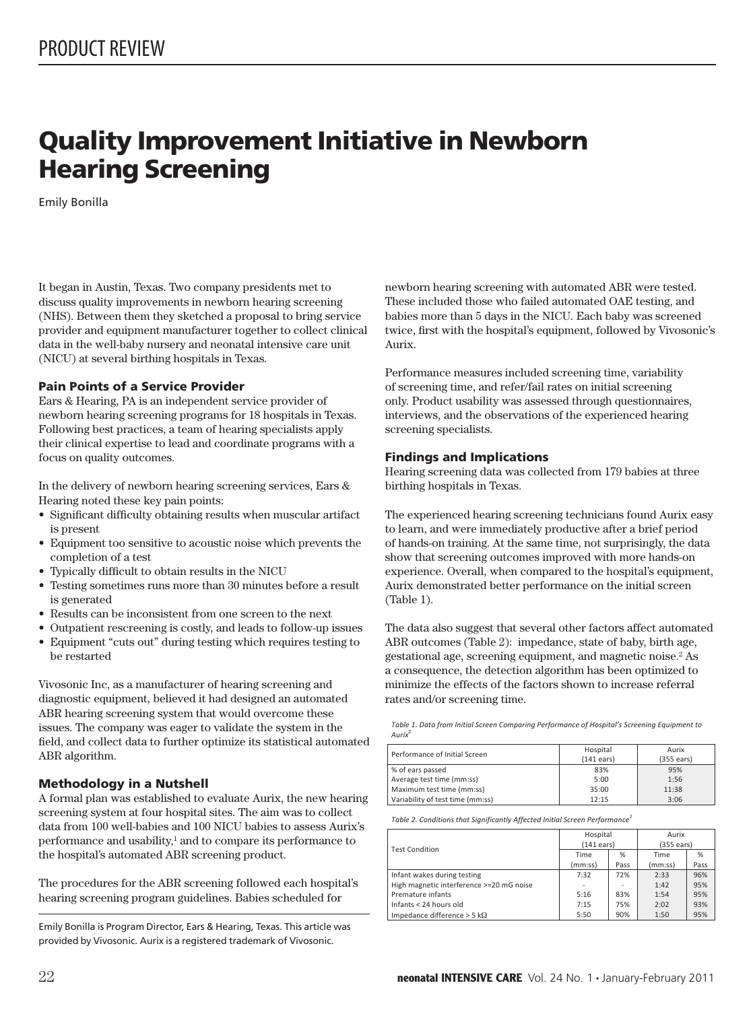# Quality Improvement Initiative in Newborn Hearing Screening

Emily Bonilla

It began in Austin, Texas. Two company presidents met to discuss quality improvements in newborn hearing screening (NHS). Between them they sketched a proposal to bring service provider and equipment manufacturer together to collect clinical data in the well-baby nursery and neonatal intensive care unit (NICU) at several birthing hospitals in Texas.

## Pain Points of a Service Provider

Ears & Hearing, PA is an independent service provider of newborn hearing screening programs for 18 hospitals in Texas. Following best practices, a team of hearing specialists apply their clinical expertise to lead and coordinate programs with a focus on quality outcomes.

In the delivery of newborn hearing screening services, Ears & Hearing noted these key pain points:

- Significant difficulty obtaining results when muscular artifact is present
- Equipment too sensitive to acoustic noise which prevents the completion of a test
- Typically difficult to obtain results in the NICU
- Testing sometimes runs more than 30 minutes before a result is generated
- Results can be inconsistent from one screen to the next
- Outpatient rescreening is costly, and leads to follow-up issues
- Equipment "cuts out" during testing which requires testing to be restarted

Vivosonic Inc, as a manufacturer of hearing screening and diagnostic equipment, believed it had designed an automated ABR hearing screening system that would overcome these issues. The company was eager to validate the system in the field, and collect data to further optimize its statistical automated ABR algorithm.

#### Methodology in a Nutshell

A formal plan was established to evaluate Aurix, the new hearing screening system at four hospital sites. The aim was to collect data from 100 well-babies and 100 NICU babies to assess Aurix's performance and usability,<sup>1</sup> and to compare its performance to the hospital's automated ABR screening product.

The procedures for the ABR screening followed each hospital's hearing screening program guidelines. Babies scheduled for

Emily Bonilla is Program Director, Ears & Hearing, Texas. This article was provided by Vivosonic. Aurix is a registered trademark of Vivosonic.

newborn hearing screening with automated ABR were tested. These included those who failed automated OAE testing, and babies more than 5 days in the NICU. Each baby was screened twice, first with the hospital's equipment, followed by Vivosonic's Aurix.

Performance measures included screening time, variability of screening time, and refer/fail rates on initial screening only. Product usability was assessed through questionnaires, interviews, and the observations of the experienced hearing screening specialists.

## Findings and Implications

Hearing screening data was collected from 179 babies at three birthing hospitals in Texas.

The experienced hearing screening technicians found Aurix easy to learn, and were immediately productive after a brief period of hands-on training. At the same time, not surprisingly, the data show that screening outcomes improved with more hands-on experience. Overall, when compared to the hospital's equipment, Aurix demonstrated better performance on the initial screen (Table 1).

The data also suggest that several other factors affect automated ABR outcomes (Table 2): impedance, state of baby, birth age, gestational age, screening equipment, and magnetic noise.2 As a consequence, the detection algorithm has been optimized to minimize the effects of the factors shown to increase referral rates and/or screening time.

Table 1. Data from Initial Screen Comparing Performance of Hospital's Screening Equipment to *Aurix*<sup>2</sup>

| Performance of Initial Screen    | Hospital             | Aurix                |  |
|----------------------------------|----------------------|----------------------|--|
|                                  | $(141 \text{ ears})$ | $(355 \text{ ears})$ |  |
| % of ears passed                 | 83%                  | 95%                  |  |
| Average test time (mm:ss)        | 5:00                 | 1:56                 |  |
| Maximum test time (mm:ss)        | 35:00                | 11:38                |  |
| Variability of test time (mm:ss) | 12:15                | 3:06                 |  |

Table 2. Conditions that Significantly Affected Initial Screen Performance<sup>2</sup>

| <b>Test Condition</b>                    | Hospital             |      | Aurix                |      |
|------------------------------------------|----------------------|------|----------------------|------|
|                                          | $(141 \text{ ears})$ |      | $(355 \text{ ears})$ |      |
|                                          | Time                 | %    | Time                 | %    |
|                                          | (mm:ss)              | Pass | (mm:ss)              | Pass |
| Infant wakes during testing              | 7:32                 | 72%  | 2:33                 | 96%  |
| High magnetic interference >=20 mG noise |                      |      | 1:42                 | 95%  |
| Premature infants                        | 5:16                 | 83%  | 1:54                 | 95%  |
| Infants < 24 hours old                   | 7:15                 | 75%  | 2:02                 | 93%  |
| Impedance difference > 5 k $\Omega$      | 5:50                 | 90%  | 1:50                 | 95%  |